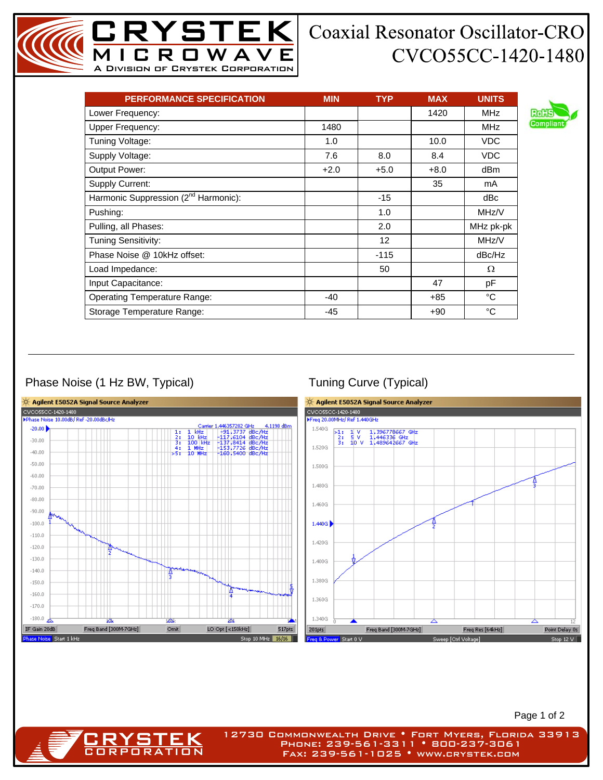## **Coaxial Resonator Oscillator-CRO** CVCO55CC-1420-1480

| <b>PERFORMANCE SPECIFICATION</b>                 | <b>MIN</b> | <b>TYP</b>      | <b>MAX</b> | <b>UNITS</b> |
|--------------------------------------------------|------------|-----------------|------------|--------------|
| Lower Frequency:                                 |            |                 | 1420       | <b>MHz</b>   |
| <b>Upper Frequency:</b>                          | 1480       |                 |            | <b>MHz</b>   |
| Tuning Voltage:                                  | 1.0        |                 | 10.0       | <b>VDC</b>   |
| Supply Voltage:                                  | 7.6        | 8.0             | 8.4        | <b>VDC</b>   |
| <b>Output Power:</b>                             | $+2.0$     | $+5.0$          | $+8.0$     | dBm          |
| Supply Current:                                  |            |                 | 35         | mA           |
| Harmonic Suppression (2 <sup>nd</sup> Harmonic): |            | $-15$           |            | dBc          |
| Pushing:                                         |            | 1.0             |            | MHz/V        |
| Pulling, all Phases:                             |            | 2.0             |            | MHz pk-pk    |
| <b>Tuning Sensitivity:</b>                       |            | 12 <sup>2</sup> |            | MHz/V        |
| Phase Noise @ 10kHz offset:                      |            | $-115$          |            | dBc/Hz       |
| Load Impedance:                                  |            | 50              |            | Ω            |
| Input Capacitance:                               |            |                 | 47         | pF           |
| <b>Operating Temperature Range:</b>              | $-40$      |                 | +85        | °C           |
| Storage Temperature Range:                       | $-45$      |                 | $+90$      | °C           |

MICROWAVE A Division of Crystek Corporation

YSTEK|

## Phase Noise (1 Hz BW, Typical) Tuning Curve (Typical)

RYS1 CORPORATION



Page 1 of 2

12730 Commonwealth Drive • Fort Myers, Florida 33913 Phone: 239-561-3311 • 800-237-3061 Fax: 239-561-1025 • www.crystek.com